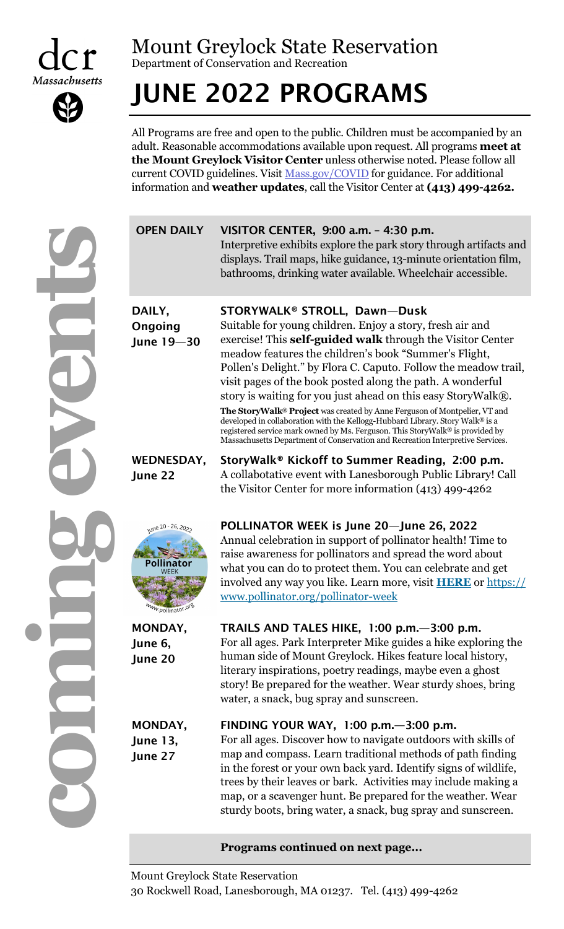



# Mount Greylock State Reservation

Department of Conservation and Recreation

# JUNE 2022 PROGRAMS

All Programs are free and open to the public. Children must be accompanied by an adult. Reasonable accommodations available upon request. All programs **meet at the Mount Greylock Visitor Center** unless otherwise noted. Please follow all current COVID guidelines. Visit [Mass.gov/COVID](https://www.mass.gov/covid-19-updates-and-information) for guidance. For additional information and **weather updates**, call the Visitor Center at **(413) 499-4262.** 

|  | <b>OPEN DAILY</b>                                                                    | VISITOR CENTER, 9:00 a.m. - 4:30 p.m.<br>Interpretive exhibits explore the park story through artifacts and<br>displays. Trail maps, hike guidance, 13-minute orientation film,<br>bathrooms, drinking water available. Wheelchair accessible.                                                                                                                                                                                                                                                                                                                                                                                                                                                                                                     |
|--|--------------------------------------------------------------------------------------|----------------------------------------------------------------------------------------------------------------------------------------------------------------------------------------------------------------------------------------------------------------------------------------------------------------------------------------------------------------------------------------------------------------------------------------------------------------------------------------------------------------------------------------------------------------------------------------------------------------------------------------------------------------------------------------------------------------------------------------------------|
|  | DAILY,<br>Ongoing<br>June 19-30                                                      | STORYWALK® STROLL, Dawn-Dusk<br>Suitable for young children. Enjoy a story, fresh air and<br>exercise! This self-guided walk through the Visitor Center<br>meadow features the children's book "Summer's Flight,<br>Pollen's Delight." by Flora C. Caputo. Follow the meadow trail,<br>visit pages of the book posted along the path. A wonderful<br>story is waiting for you just ahead on this easy StoryWalk®.<br>The StoryWalk® Project was created by Anne Ferguson of Montpelier, VT and<br>developed in collaboration with the Kellogg-Hubbard Library. Story Walk® is a<br>registered service mark owned by Ms. Ferguson. This StoryWalk® is provided by<br>Massachusetts Department of Conservation and Recreation Interpretive Services. |
|  | <b>WEDNESDAY,</b><br>June 22                                                         | StoryWalk <sup>®</sup> Kickoff to Summer Reading, 2:00 p.m.<br>A collabotative event with Lanesborough Public Library! Call<br>the Visitor Center for more information (413) 499-4262                                                                                                                                                                                                                                                                                                                                                                                                                                                                                                                                                              |
|  | une 20 - 26, 20 <sub>2</sub> .<br>Pollinator<br><sup>w.</sup> pollinat <sup>or</sup> | POLLINATOR WEEK is June 20-June 26, 2022<br>Annual celebration in support of pollinator health! Time to<br>raise awareness for pollinators and spread the word about<br>what you can do to protect them. You can celebrate and get<br>involved any way you like. Learn more, visit <b>HERE</b> or https://<br>www.pollinator.org/pollinator-week                                                                                                                                                                                                                                                                                                                                                                                                   |
|  | MONDAY,<br>June 6,<br>June 20                                                        | TRAILS AND TALES HIKE, 1:00 p.m. - 3:00 p.m.<br>For all ages. Park Interpreter Mike guides a hike exploring the<br>human side of Mount Greylock. Hikes feature local history,<br>literary inspirations, poetry readings, maybe even a ghost<br>story! Be prepared for the weather. Wear sturdy shoes, bring<br>water, a snack, bug spray and sunscreen.                                                                                                                                                                                                                                                                                                                                                                                            |
|  | MONDAY,<br><b>June 13,</b><br>June 27                                                | FINDING YOUR WAY, 1:00 p.m. - 3:00 p.m.<br>For all ages. Discover how to navigate outdoors with skills of<br>map and compass. Learn traditional methods of path finding<br>in the forest or your own back yard. Identify signs of wildlife,<br>trees by their leaves or bark. Activities may include making a<br>map, or a scavenger hunt. Be prepared for the weather. Wear<br>sturdy boots, bring water, a snack, bug spray and sunscreen.                                                                                                                                                                                                                                                                                                       |
|  |                                                                                      | Programs continued on next page                                                                                                                                                                                                                                                                                                                                                                                                                                                                                                                                                                                                                                                                                                                    |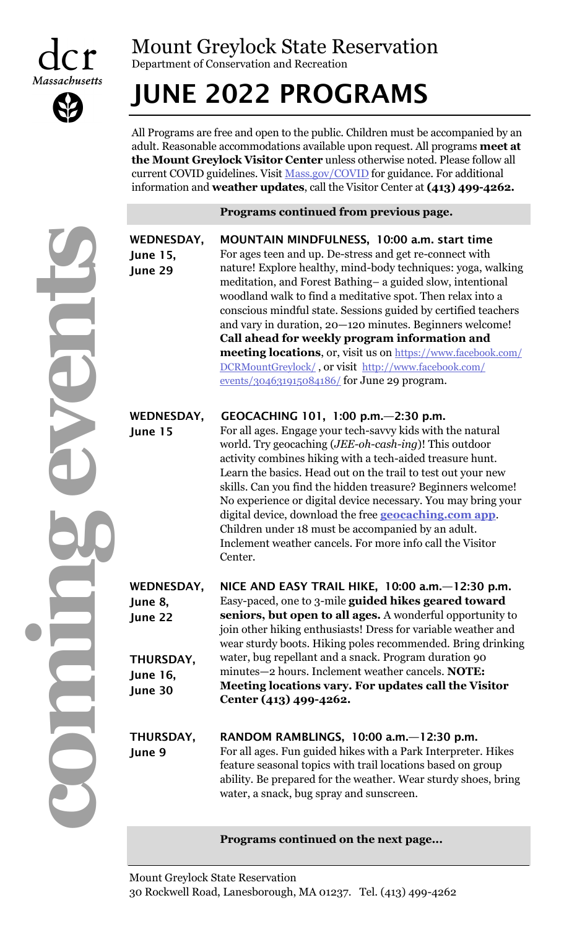



**STATE** 

### Mount Greylock State Reservation

Department of Conservation and Recreation

# JUNE 2022 PROGRAMS

All Programs are free and open to the public. Children must be accompanied by an adult. Reasonable accommodations available upon request. All programs **meet at the Mount Greylock Visitor Center** unless otherwise noted. Please follow all current COVID guidelines. Visit [Mass.gov/COVID](https://www.mass.gov/covid-19-updates-and-information) for guidance. For additional information and **weather updates**, call the Visitor Center at **(413) 499-4262.**

**Programs continued from previous page.**

| p<br>ı | WI<br>Ju<br>Ju |
|--------|----------------|
|        |                |
|        | WI<br>Ju       |
|        |                |
|        | WI<br>Ju<br>Ju |
|        | Tŀ<br>Ju<br>Ju |
|        | Τŀ<br>Ju       |
|        |                |

|                                                                                    | r rograms continued from previous page.                                                                                                                                                                                                                                                                                                                                                                                                                                                                                                                                                                                                                           |
|------------------------------------------------------------------------------------|-------------------------------------------------------------------------------------------------------------------------------------------------------------------------------------------------------------------------------------------------------------------------------------------------------------------------------------------------------------------------------------------------------------------------------------------------------------------------------------------------------------------------------------------------------------------------------------------------------------------------------------------------------------------|
| WEDNESDAY,<br><b>June 15,</b><br>June 29                                           | MOUNTAIN MINDFULNESS, 10:00 a.m. start time<br>For ages teen and up. De-stress and get re-connect with<br>nature! Explore healthy, mind-body techniques: yoga, walking<br>meditation, and Forest Bathing- a guided slow, intentional<br>woodland walk to find a meditative spot. Then relax into a<br>conscious mindful state. Sessions guided by certified teachers<br>and vary in duration, 20-120 minutes. Beginners welcome!<br>Call ahead for weekly program information and<br><b>meeting locations</b> , or, visit us on https://www.facebook.com/<br>DCRMountGreylock/, or visit http://www.facebook.com/<br>events/304631915084186/ for June 29 program. |
| <b>WEDNESDAY,</b><br>June 15                                                       | GEOCACHING 101, 1:00 p.m. - 2:30 p.m.<br>For all ages. Engage your tech-savvy kids with the natural<br>world. Try geocaching ( <i>JEE-oh-cash-ing</i> )! This outdoor<br>activity combines hiking with a tech-aided treasure hunt.<br>Learn the basics. Head out on the trail to test out your new<br>skills. Can you find the hidden treasure? Beginners welcome!<br>No experience or digital device necessary. You may bring your<br>digital device, download the free <b>geocaching.com app</b> .<br>Children under 18 must be accompanied by an adult.<br>Inclement weather cancels. For more info call the Visitor<br>Center.                                |
| <b>WEDNESDAY,</b><br>June 8,<br>June 22<br>THURSDAY,<br><b>June 16,</b><br>June 30 | NICE AND EASY TRAIL HIKE, 10:00 a.m. - 12:30 p.m.<br>Easy-paced, one to 3-mile guided hikes geared toward<br>seniors, but open to all ages. A wonderful opportunity to<br>join other hiking enthusiasts! Dress for variable weather and<br>wear sturdy boots. Hiking poles recommended. Bring drinking<br>water, bug repellant and a snack. Program duration 90<br>minutes-2 hours. Inclement weather cancels. NOTE:<br>Meeting locations vary. For updates call the Visitor<br>Center (413) 499-4262.                                                                                                                                                            |
| THURSDAY,<br>June 9                                                                | RANDOM RAMBLINGS, $10:00$ a.m. $-12:30$ p.m.<br>For all ages. Fun guided hikes with a Park Interpreter. Hikes<br>feature seasonal topics with trail locations based on group<br>ability. Be prepared for the weather. Wear sturdy shoes, bring<br>water, a snack, bug spray and sunscreen.                                                                                                                                                                                                                                                                                                                                                                        |

### **Programs continued on the next page...**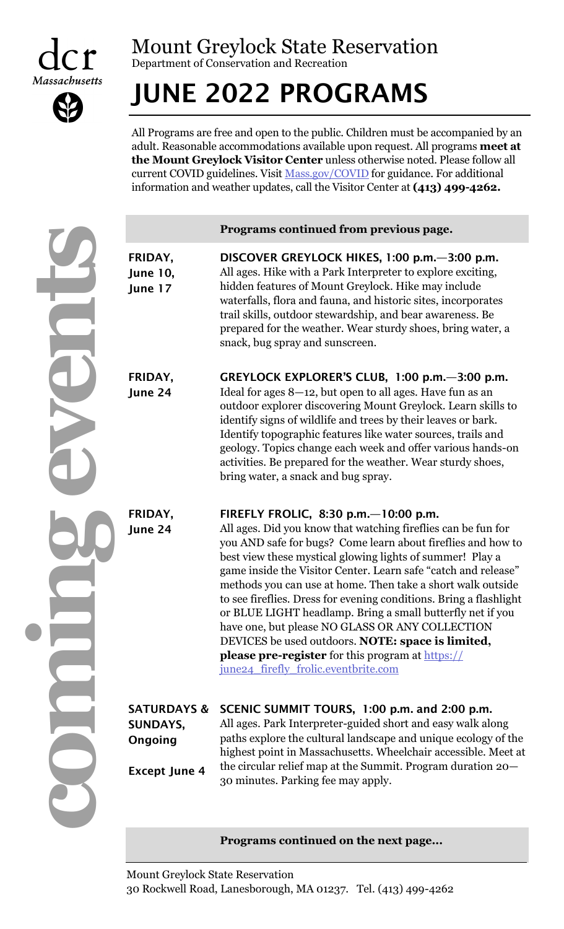

# Mount Greylock State Reservation

Department of Conservation and Recreation

# JUNE 2022 PROGRAMS

All Programs are free and open to the public. Children must be accompanied by an adult. Reasonable accommodations available upon request. All programs **meet at the Mount Greylock Visitor Center** unless otherwise noted. Please follow all current COVID guidelines. Visit [Mass.gov/COVID](https://www.mass.gov/covid-19-updates-and-information) for guidance. For additional information and weather updates, call the Visitor Center at **(413) 499-4262.**

**comme events** 

|                                       | Programs continued from previous page.                                                                                                                                                                                                                                                                                                                                                                                                                                                |
|---------------------------------------|---------------------------------------------------------------------------------------------------------------------------------------------------------------------------------------------------------------------------------------------------------------------------------------------------------------------------------------------------------------------------------------------------------------------------------------------------------------------------------------|
| FRIDAY,<br><b>June 10,</b><br>June 17 | DISCOVER GREYLOCK HIKES, 1:00 p.m. - 3:00 p.m.<br>All ages. Hike with a Park Interpreter to explore exciting,<br>hidden features of Mount Greylock. Hike may include<br>waterfalls, flora and fauna, and historic sites, incorporates<br>trail skills, outdoor stewardship, and bear awareness. Be<br>prepared for the weather. Wear sturdy shoes, bring water, a<br>snack, bug spray and sunscreen.                                                                                  |
| FRIDAY,<br>June 24                    | GREYLOCK EXPLORER'S CLUB, 1:00 p.m. - 3:00 p.m.<br>Ideal for ages $8-12$ , but open to all ages. Have fun as an<br>outdoor explorer discovering Mount Greylock. Learn skills to<br>identify signs of wildlife and trees by their leaves or bark.<br>Identify topographic features like water sources, trails and<br>geology. Topics change each week and offer various hands-on<br>activities. Be prepared for the weather. Wear sturdy shoes,<br>bring water, a snack and bug spray. |
| FRIDAY,<br>June 24                    | FIREFLY FROLIC, 8:30 p.m. $-10:00$ p.m.<br>All ages. Did you know that watching fireflies can be fun for<br>you AND safe for bugs? Come learn about fireflies and how to<br>best view these mystical glowing lights of summer! Play a<br>game inside the Visitor Center. Learn safe "catch and release"                                                                                                                                                                               |

game inside the Visitor Center. Learn safe "catch and release" methods you can use at home. Then take a short walk outside to see fireflies. Dress for evening conditions. Bring a flashlight or BLUE LIGHT headlamp. Bring a small butterfly net if you have one, but please NO GLASS OR ANY COLLECTION DEVICES be used outdoors. **NOTE: space is limited, please pre-register** for this program at [https://](https://june24_firefly_frolic.eventbrite.com) [june24\\_firefly\\_frolic.eventbrite.com](https://june24_firefly_frolic.eventbrite.com)

|                      | SATURDAYS & SCENIC SUMMIT TOURS, 1:00 p.m. and 2:00 p.m.       |
|----------------------|----------------------------------------------------------------|
| <b>SUNDAYS,</b>      | All ages. Park Interpreter-guided short and easy walk along    |
| Ongoing              | paths explore the cultural landscape and unique ecology of the |
|                      | highest point in Massachusetts. Wheelchair accessible. Meet at |
| <b>Except June 4</b> | the circular relief map at the Summit. Program duration 20–    |
|                      | 30 minutes. Parking fee may apply.                             |

### **Programs continued on the next page...**